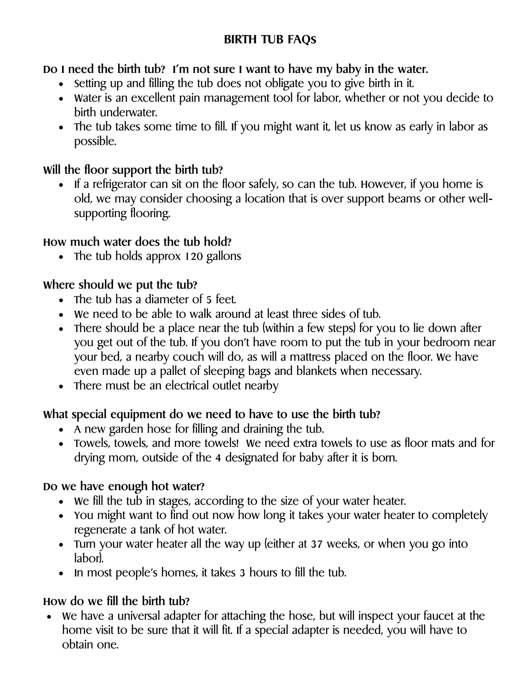### **BIRTH TUB FAQs**

**Do I need the birth tub? I'm not sure I want to have my baby in the water.**

- Setting up and filling the tub does not obligate you to give birth in it.
- Water is an excellent pain management tool for labor, whether or not you decide to birth underwater.
- The tub takes some time to fill. If you might want it, let us know as early in labor as possible.

### **Will the floor support the birth tub?**

• If a refrigerator can sit on the floor safely, so can the tub. However, if you home is old, we may consider choosing a location that is over support beams or other wellsupporting flooring.

# **How much water does the tub hold?**

• The tub holds approx 120 gallons

# **Where should we put the tub?**

- The tub has a diameter of 5 feet.
- We need to be able to walk around at least three sides of tub.
- There should be a place near the tub (within a few steps) for you to lie down after you get out of the tub. If you don't have room to put the tub in your bedroom near your bed, a nearby couch will do, as will a mattress placed on the floor. We have even made up a pallet of sleeping bags and blankets when necessary.
- There must be an electrical outlet nearby

# **What special equipment do we need to have to use the birth tub?**

- A new garden hose for filling and draining the tub.
- Towels, towels, and more towels! We need extra towels to use as floor mats and for drying mom, outside of the 4 designated for baby after it is born.

# **Do we have enough hot water?**

- We fill the tub in stages, according to the size of your water heater.
- You might want to find out now how long it takes your water heater to completely regenerate a tank of hot water.
- Turn your water heater all the way up (either at 37 weeks, or when you go into labor).
- In most people's homes, it takes 3 hours to fill the tub.

# **How do we fill the birth tub?**

 We have a universal adapter for attaching the hose, but will inspect your faucet at the home visit to be sure that it will fit. If a special adapter is needed, you will have to obtain one.